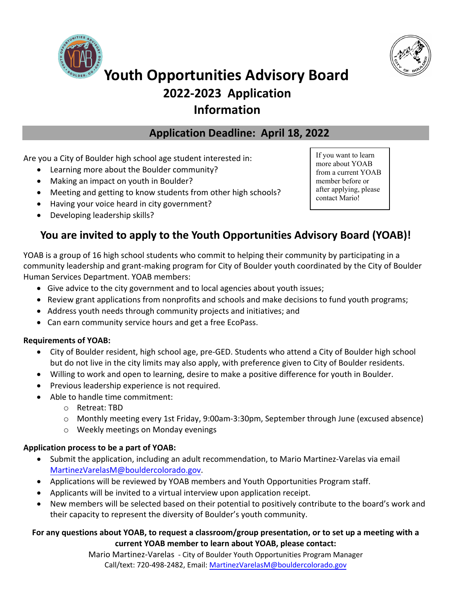



# **Youth Opportunities Advisory Board 2022-2023 Application Information**

## **Application Deadline: April 18, 2022**

Are you a City of Boulder high school age student interested in:

- Learning more about the Boulder community?
- Making an impact on youth in Boulder?
- Meeting and getting to know students from other high schools?
- Having your voice heard in city government?
- Developing leadership skills?

If you want to learn more about YOAB from a current YOAB member before or after applying, please contact Mario!

## **You are invited to apply to the Youth Opportunities Advisory Board (YOAB)!**

YOAB is a group of 16 high school students who commit to helping their community by participating in a community leadership and grant-making program for City of Boulder youth coordinated by the City of Boulder Human Services Department. YOAB members:

- Give advice to the city government and to local agencies about youth issues;
- Review grant applications from nonprofits and schools and make decisions to fund youth programs;
- Address youth needs through community projects and initiatives; and
- Can earn community service hours and get a free EcoPass.

### **Requirements of YOAB:**

- City of Boulder resident, high school age, pre-GED. Students who attend a City of Boulder high school but do not live in the city limits may also apply, with preference given to City of Boulder residents.
- Willing to work and open to learning, desire to make a positive difference for youth in Boulder.
- Previous leadership experience is not required.
- Able to handle time commitment:
	- o Retreat: TBD
	- o Monthly meeting every 1st Friday, 9:00am-3:30pm, September through June (excused absence)
	- o Weekly meetings on Monday evenings

### **Application process to be a part of YOAB:**

- Submit the application, including an adult recommendation, to Mario Martinez-Varelas via email [MartinezVarelasM](mailto:pelegrinaw@bouldercolorado.gov)@bouldercolorado.gov.
- Applications will be reviewed by YOAB members and Youth Opportunities Program staff.
- Applicants will be invited to a virtual interview upon application receipt.
- New members will be selected based on their potential to positively contribute to the board's work and their capacity to represent the diversity of Boulder's youth community.

## **For any questions about YOAB, to request a classroom/group presentation, or to set up a meeting with a current YOAB member to learn about YOAB, please contact:**

Mario Martinez-Varelas - City of Boulder Youth Opportunities Program Manager Call/text: 720-498-2482, Email: MartinezVarelasM[@bouldercolorado.g](mailto:pelegrinaw@bouldercolorado.gov)ov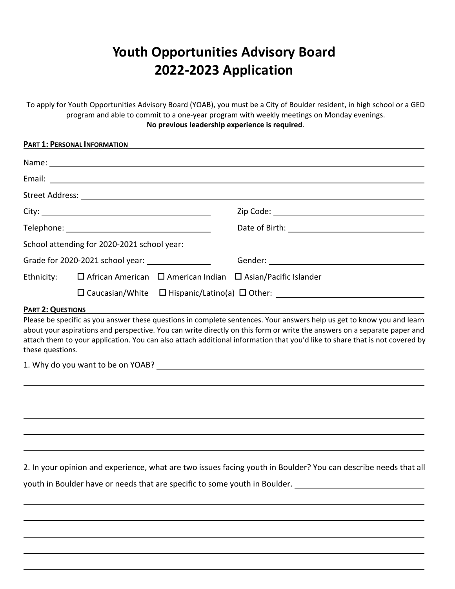# **Youth Opportunities Advisory Board 2022-2023 Application**

To apply for Youth Opportunities Advisory Board (YOAB), you must be a City of Boulder resident, in high school or a GED program and able to commit to a one-year program with weekly meetings on Monday evenings. **No previous leadership experience is required**.

|                                                   | PART 1: PERSONAL INFORMATION                |  |                                                                                         |  |
|---------------------------------------------------|---------------------------------------------|--|-----------------------------------------------------------------------------------------|--|
|                                                   |                                             |  |                                                                                         |  |
|                                                   |                                             |  |                                                                                         |  |
|                                                   |                                             |  |                                                                                         |  |
|                                                   |                                             |  |                                                                                         |  |
|                                                   |                                             |  |                                                                                         |  |
|                                                   | School attending for 2020-2021 school year: |  |                                                                                         |  |
| Grade for 2020-2021 school year: ________________ |                                             |  |                                                                                         |  |
|                                                   |                                             |  | Ethnicity: $\Box$ African American $\Box$ American Indian $\Box$ Asian/Pacific Islander |  |
|                                                   |                                             |  |                                                                                         |  |
| $D \cdot D = 2 \cdot \Omega + D \cdot D \cdot D$  |                                             |  |                                                                                         |  |

#### **PART 2: QUESTIONS**

Please be specific as you answer these questions in complete sentences. Your answers help us get to know you and learn about your aspirations and perspective. You can write directly on this form or write the answers on a separate paper and attach them to your application. You can also attach additional information that you'd like to share that is not covered by these questions.

1. Why do you want to be on YOAB?

2. In your opinion and experience, what are two issues facing youth in Boulder? You can describe needs that all

youth in Boulder have or needs that are specific to some youth in Boulder.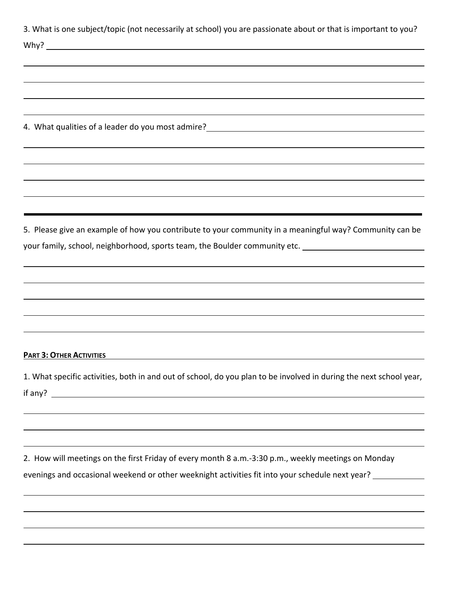| 3. What is one subject/topic (not necessarily at school) you are passionate about or that is important to you?                                                                                                                     |
|------------------------------------------------------------------------------------------------------------------------------------------------------------------------------------------------------------------------------------|
|                                                                                                                                                                                                                                    |
|                                                                                                                                                                                                                                    |
|                                                                                                                                                                                                                                    |
|                                                                                                                                                                                                                                    |
|                                                                                                                                                                                                                                    |
|                                                                                                                                                                                                                                    |
| 4. What qualities of a leader do you most admire?<br>and the contract of a leader do you most admire?<br>All the contract of the contract of the contract of the contract of the contract of the contract of the contract of the c |
|                                                                                                                                                                                                                                    |
|                                                                                                                                                                                                                                    |
|                                                                                                                                                                                                                                    |
|                                                                                                                                                                                                                                    |
|                                                                                                                                                                                                                                    |
|                                                                                                                                                                                                                                    |
| 5. Please give an example of how you contribute to your community in a meaningful way? Community can be                                                                                                                            |
| your family, school, neighborhood, sports team, the Boulder community etc. ________________________                                                                                                                                |
|                                                                                                                                                                                                                                    |
|                                                                                                                                                                                                                                    |
|                                                                                                                                                                                                                                    |
|                                                                                                                                                                                                                                    |
|                                                                                                                                                                                                                                    |
|                                                                                                                                                                                                                                    |
|                                                                                                                                                                                                                                    |
| <b>PART 3: OTHER ACTIVITIES</b>                                                                                                                                                                                                    |
|                                                                                                                                                                                                                                    |
| 1. What specific activities, both in and out of school, do you plan to be involved in during the next school year,                                                                                                                 |

if any?

2. How will meetings on the first Friday of every month 8 a.m.-3:30 p.m., weekly meetings on Monday evenings and occasional weekend or other weeknight activities fit into your schedule next year? \_\_\_\_\_\_\_\_\_\_\_\_\_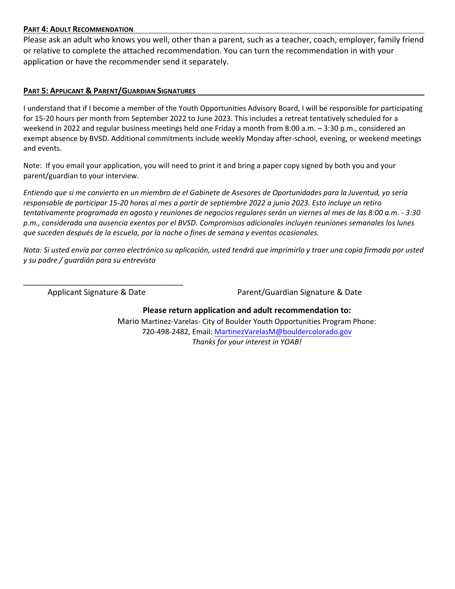#### **PART 4: ADULT RECOMMENDATION**

Please ask an adult who knows you well, other than a parent, such as a teacher, coach, employer, family friend or relative to complete the attached recommendation. You can turn the recommendation in with your application or have the recommender send it separately.

### **PART 5: APPLICANT & PARENT/GUARDIAN SIGNATURES**

I understand that if I become a member of the Youth Opportunities Advisory Board, I will be responsible for participating for 15-20 hours per month from September 2022 to June 2023. This includes a retreat tentatively scheduled for a weekend in 2022 and regular business meetings held one Friday a month from 8:00 a.m. – 3:30 p.m., considered an exempt absence by BVSD. Additional commitments include weekly Monday after-school, evening, or weekend meetings and events.

Note: If you email your application, you will need to print it and bring a paper copy signed by both you and your parent/guardian to your interview.

*Entiendo que si me convierto en un miembro de el Gabinete de Asesores de Oportunidades para la Juventud, yo sería responsable de participar 15-20 horas al mes a partir de septiembre 2022 a junio 2023. Esto incluye un retiro tentativamente programada en agosto y reuniones de negocios regulares serán un viernes al mes de las 8:00 a.m. - 3:30 p.m., considerada una ausencia exentos por el BVSD. Compromisos adicionales incluyen reuniones semanales los lunes que suceden después de la escuela, por la noche o fines de semana y eventos ocasionales.*

*Nota: Si usted envía por correo electrónico su aplicación, usted tendrá que imprimirlo y traer una copia firmada por usted y su padre / guardián para su entrevista* 

\_\_\_\_\_\_\_\_\_\_\_\_\_\_\_\_\_\_\_\_\_\_\_\_\_\_\_\_\_\_\_\_\_\_\_\_

Applicant Signature & Date **Parent/Guardian Signature & Date** 

**Please return application and adult recommendation to:**  Mario Martinez-Varelas- City of Boulder Youth Opportunities Program Phone: 720-498-2482, Email: MartinezVarelasM@bouldercolorado.gov *Thanks for your interest in YOAB!*